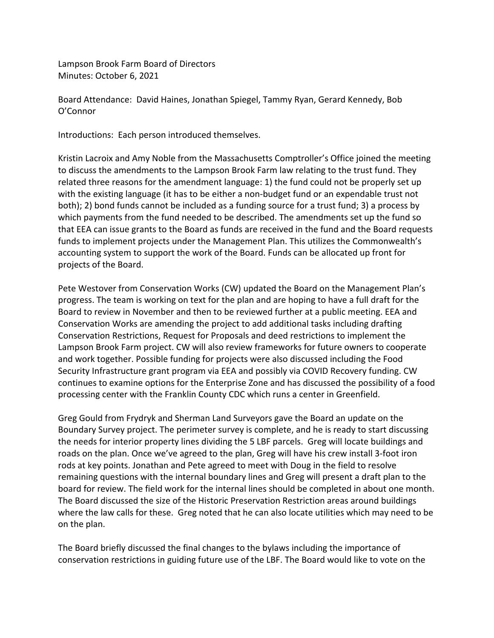Lampson Brook Farm Board of Directors Minutes: October 6, 2021

Board Attendance: David Haines, Jonathan Spiegel, Tammy Ryan, Gerard Kennedy, Bob O'Connor

Introductions: Each person introduced themselves.

Kristin Lacroix and Amy Noble from the Massachusetts Comptroller's Office joined the meeting to discuss the amendments to the Lampson Brook Farm law relating to the trust fund. They related three reasons for the amendment language: 1) the fund could not be properly set up with the existing language (it has to be either a non-budget fund or an expendable trust not both); 2) bond funds cannot be included as a funding source for a trust fund; 3) a process by which payments from the fund needed to be described. The amendments set up the fund so that EEA can issue grants to the Board as funds are received in the fund and the Board requests funds to implement projects under the Management Plan. This utilizes the Commonwealth's accounting system to support the work of the Board. Funds can be allocated up front for projects of the Board.

Pete Westover from Conservation Works (CW) updated the Board on the Management Plan's progress. The team is working on text for the plan and are hoping to have a full draft for the Board to review in November and then to be reviewed further at a public meeting. EEA and Conservation Works are amending the project to add additional tasks including drafting Conservation Restrictions, Request for Proposals and deed restrictions to implement the Lampson Brook Farm project. CW will also review frameworks for future owners to cooperate and work together. Possible funding for projects were also discussed including the Food Security Infrastructure grant program via EEA and possibly via COVID Recovery funding. CW continues to examine options for the Enterprise Zone and has discussed the possibility of a food processing center with the Franklin County CDC which runs a center in Greenfield.

Greg Gould from Frydryk and Sherman Land Surveyors gave the Board an update on the Boundary Survey project. The perimeter survey is complete, and he is ready to start discussing the needs for interior property lines dividing the 5 LBF parcels. Greg will locate buildings and roads on the plan. Once we've agreed to the plan, Greg will have his crew install 3-foot iron rods at key points. Jonathan and Pete agreed to meet with Doug in the field to resolve remaining questions with the internal boundary lines and Greg will present a draft plan to the board for review. The field work for the internal lines should be completed in about one month. The Board discussed the size of the Historic Preservation Restriction areas around buildings where the law calls for these. Greg noted that he can also locate utilities which may need to be on the plan.

The Board briefly discussed the final changes to the bylaws including the importance of conservation restrictions in guiding future use of the LBF. The Board would like to vote on the